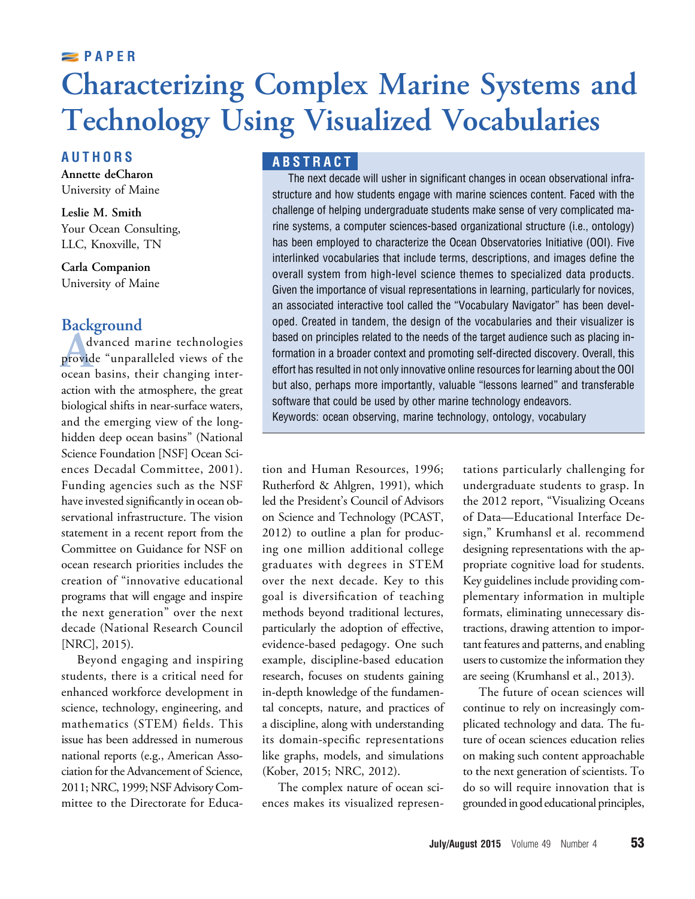# PAPER Characterizing Complex Marine Systems and Technology Using Visualized Vocabularies

### **AUTHORS**

Annette deCharon University of Maine

Leslie M. Smith Your Ocean Consulting, LLC, Knoxville, TN

Carla Companion University of Maine

## Background

Advanced marine technologies ocean basins, their changing interprovide "unparalleled views of the action with the atmosphere, the great biological shifts in near-surface waters, and the emerging view of the longhidden deep ocean basins" (National Science Foundation [NSF] Ocean Sciences Decadal Committee, 2001). Funding agencies such as the NSF have invested significantly in ocean observational infrastructure. The vision statement in a recent report from the Committee on Guidance for NSF on ocean research priorities includes the creation of "innovative educational programs that will engage and inspire the next generation" over the next decade (National Research Council [NRC], 2015).

Beyond engaging and inspiring students, there is a critical need for enhanced workforce development in science, technology, engineering, and mathematics (STEM) fields. This issue has been addressed in numerous national reports (e.g., American Association for the Advancement of Science, 2011; NRC, 1999; NSF Advisory Committee to the Directorate for Educa-

The next decade will usher in significant changes in ocean observational infrastructure and how students engage with marine sciences content. Faced with the challenge of helping undergraduate students make sense of very complicated marine systems, a computer sciences-based organizational structure (i.e., ontology) has been employed to characterize the Ocean Observatories Initiative (OOI). Five interlinked vocabularies that include terms, descriptions, and images define the overall system from high-level science themes to specialized data products. Given the importance of visual representations in learning, particularly for novices, an associated interactive tool called the "Vocabulary Navigator" has been developed. Created in tandem, the design of the vocabularies and their visualizer is based on principles related to the needs of the target audience such as placing information in a broader context and promoting self-directed discovery. Overall, this effort has resulted in not only innovative online resources for learning about the OOI but also, perhaps more importantly, valuable "lessons learned" and transferable software that could be used by other marine technology endeavors. Keywords: ocean observing, marine technology, ontology, vocabulary

tion and Human Resources, 1996; Rutherford & Ahlgren, 1991), which led the President's Council of Advisors on Science and Technology (PCAST, 2012) to outline a plan for producing one million additional college graduates with degrees in STEM over the next decade. Key to this goal is diversification of teaching methods beyond traditional lectures, particularly the adoption of effective, evidence-based pedagogy. One such example, discipline-based education research, focuses on students gaining in-depth knowledge of the fundamental concepts, nature, and practices of a discipline, along with understanding its domain-specific representations like graphs, models, and simulations (Kober, 2015; NRC, 2012).

The complex nature of ocean sciences makes its visualized representations particularly challenging for undergraduate students to grasp. In the 2012 report, "Visualizing Oceans of Data—Educational Interface Design," Krumhansl et al. recommend designing representations with the appropriate cognitive load for students. Key guidelines include providing complementary information in multiple formats, eliminating unnecessary distractions, drawing attention to important features and patterns, and enabling users to customize the information they are seeing (Krumhansl et al., 2013).

The future of ocean sciences will continue to rely on increasingly complicated technology and data. The future of ocean sciences education relies on making such content approachable to the next generation of scientists. To do so will require innovation that is grounded in good educational principles,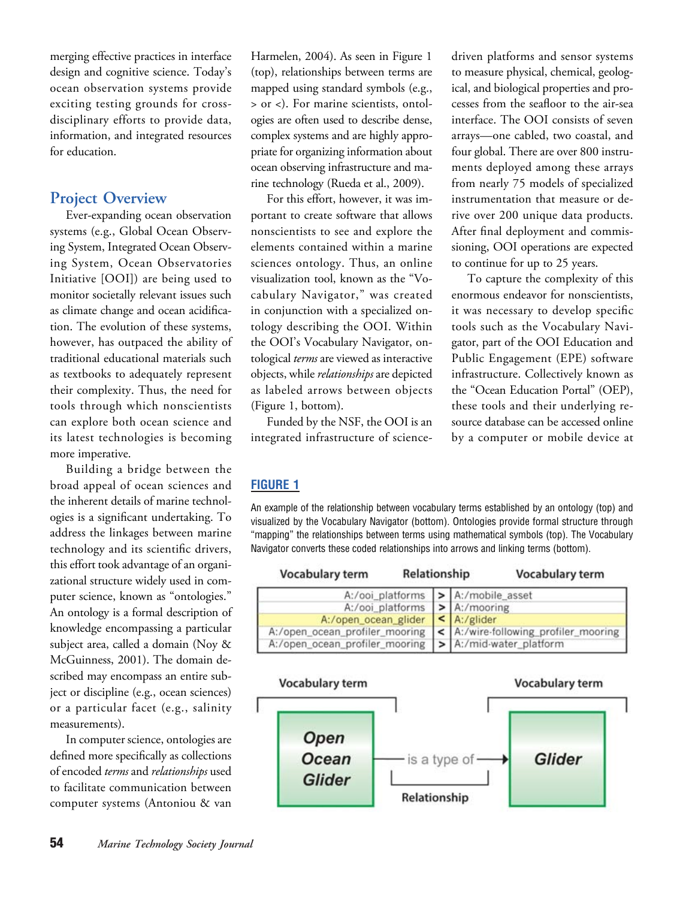merging effective practices in interface design and cognitive science. Today's ocean observation systems provide exciting testing grounds for crossdisciplinary efforts to provide data, information, and integrated resources for education.

## Project Overview

Ever-expanding ocean observation systems (e.g., Global Ocean Observing System, Integrated Ocean Observing System, Ocean Observatories Initiative [OOI]) are being used to monitor societally relevant issues such as climate change and ocean acidification. The evolution of these systems, however, has outpaced the ability of traditional educational materials such as textbooks to adequately represent their complexity. Thus, the need for tools through which nonscientists can explore both ocean science and its latest technologies is becoming more imperative.

Building a bridge between the broad appeal of ocean sciences and the inherent details of marine technologies is a significant undertaking. To address the linkages between marine technology and its scientific drivers, this effort took advantage of an organizational structure widely used in computer science, known as "ontologies." An ontology is a formal description of knowledge encompassing a particular subject area, called a domain (Noy & McGuinness, 2001). The domain described may encompass an entire subject or discipline (e.g., ocean sciences) or a particular facet (e.g., salinity measurements).

In computer science, ontologies are defined more specifically as collections of encoded terms and relationships used to facilitate communication between computer systems (Antoniou & van

Harmelen, 2004). As seen in Figure 1 (top), relationships between terms are mapped using standard symbols (e.g., > or <). For marine scientists, ontologies are often used to describe dense, complex systems and are highly appropriate for organizing information about ocean observing infrastructure and marine technology (Rueda et al., 2009).

For this effort, however, it was important to create software that allows nonscientists to see and explore the elements contained within a marine sciences ontology. Thus, an online visualization tool, known as the "Vocabulary Navigator," was created in conjunction with a specialized ontology describing the OOI. Within the OOI's Vocabulary Navigator, ontological terms are viewed as interactive objects, while relationships are depicted as labeled arrows between objects (Figure 1, bottom).

Funded by the NSF, the OOI is an integrated infrastructure of sciencedriven platforms and sensor systems to measure physical, chemical, geological, and biological properties and processes from the seafloor to the air-sea interface. The OOI consists of seven arrays—one cabled, two coastal, and four global. There are over 800 instruments deployed among these arrays from nearly 75 models of specialized instrumentation that measure or derive over 200 unique data products. After final deployment and commissioning, OOI operations are expected to continue for up to 25 years.

To capture the complexity of this enormous endeavor for nonscientists, it was necessary to develop specific tools such as the Vocabulary Navigator, part of the OOI Education and Public Engagement (EPE) software infrastructure. Collectively known as the "Ocean Education Portal" (OEP), these tools and their underlying resource database can be accessed online by a computer or mobile device at

### FIGURE 1

An example of the relationship between vocabulary terms established by an ontology (top) and visualized by the Vocabulary Navigator (bottom). Ontologies provide formal structure through "mapping" the relationships between terms using mathematical symbols (top). The Vocabulary Navigator converts these coded relationships into arrows and linking terms (bottom).

| > A:/mobile_asset<br>A:/mooring      |  |  |
|--------------------------------------|--|--|
|                                      |  |  |
|                                      |  |  |
| < A:/wire-following_profiler_mooring |  |  |
| > A:/mid-water_platform              |  |  |

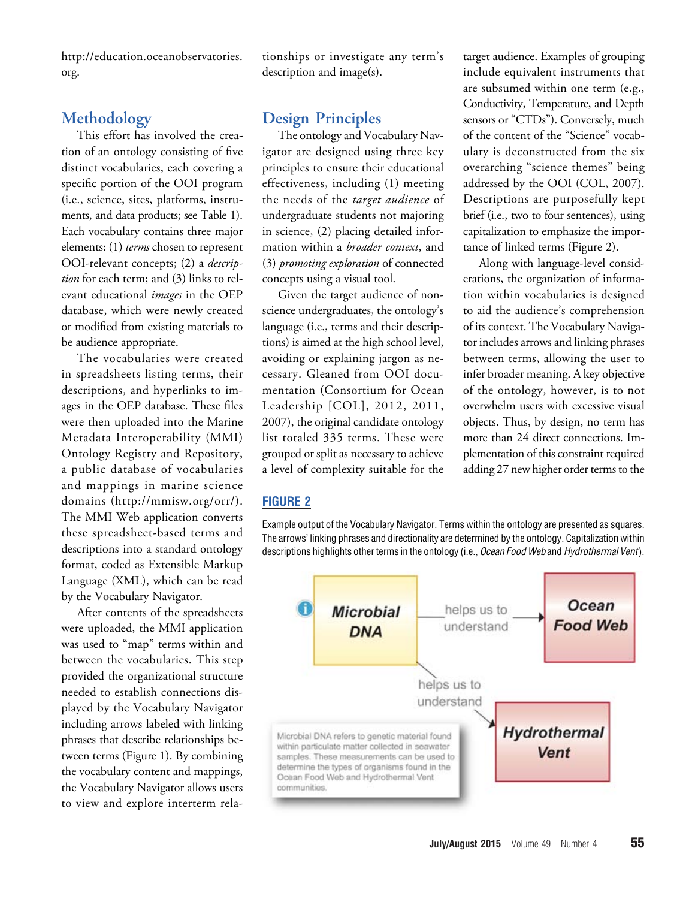http://education.oceanobservatories. org.

## **Methodology**

This effort has involved the creation of an ontology consisting of five distinct vocabularies, each covering a specific portion of the OOI program (i.e., science, sites, platforms, instruments, and data products; see Table 1). Each vocabulary contains three major elements: (1) *terms* chosen to represent OOI-relevant concepts; (2) a description for each term; and (3) links to relevant educational images in the OEP database, which were newly created or modified from existing materials to be audience appropriate.

The vocabularies were created in spreadsheets listing terms, their descriptions, and hyperlinks to images in the OEP database. These files were then uploaded into the Marine Metadata Interoperability (MMI) Ontology Registry and Repository, a public database of vocabularies and mappings in marine science domains (http://mmisw.org/orr/). The MMI Web application converts these spreadsheet-based terms and descriptions into a standard ontology format, coded as Extensible Markup Language (XML), which can be read by the Vocabulary Navigator.

After contents of the spreadsheets were uploaded, the MMI application was used to "map" terms within and between the vocabularies. This step provided the organizational structure needed to establish connections displayed by the Vocabulary Navigator including arrows labeled with linking phrases that describe relationships between terms (Figure 1). By combining the vocabulary content and mappings, the Vocabulary Navigator allows users to view and explore interterm rela-

tionships or investigate any term's description and image(s).

## Design Principles

The ontology and Vocabulary Navigator are designed using three key principles to ensure their educational effectiveness, including (1) meeting the needs of the target audience of undergraduate students not majoring in science, (2) placing detailed information within a *broader context*, and (3) promoting exploration of connected concepts using a visual tool.

Given the target audience of nonscience undergraduates, the ontology's language (i.e., terms and their descriptions) is aimed at the high school level, avoiding or explaining jargon as necessary. Gleaned from OOI documentation (Consortium for Ocean Leadership [COL], 2012, 2011, 2007), the original candidate ontology list totaled 335 terms. These were grouped or split as necessary to achieve a level of complexity suitable for the

target audience. Examples of grouping include equivalent instruments that are subsumed within one term (e.g., Conductivity, Temperature, and Depth sensors or "CTDs"). Conversely, much of the content of the "Science" vocabulary is deconstructed from the six overarching "science themes" being addressed by the OOI (COL, 2007). Descriptions are purposefully kept brief (i.e., two to four sentences), using capitalization to emphasize the importance of linked terms (Figure 2).

Along with language-level considerations, the organization of information within vocabularies is designed to aid the audience's comprehension of its context. The Vocabulary Navigator includes arrows and linking phrases between terms, allowing the user to infer broader meaning. A key objective of the ontology, however, is to not overwhelm users with excessive visual objects. Thus, by design, no term has more than 24 direct connections. Implementation of this constraint required adding 27 new higher order terms to the

## FIGURE 2

Example output of the Vocabulary Navigator. Terms within the ontology are presented as squares. The arrows' linking phrases and directionality are determined by the ontology. Capitalization within descriptions highlights other terms in the ontology (i.e., Ocean Food Web and Hydrothermal Vent).

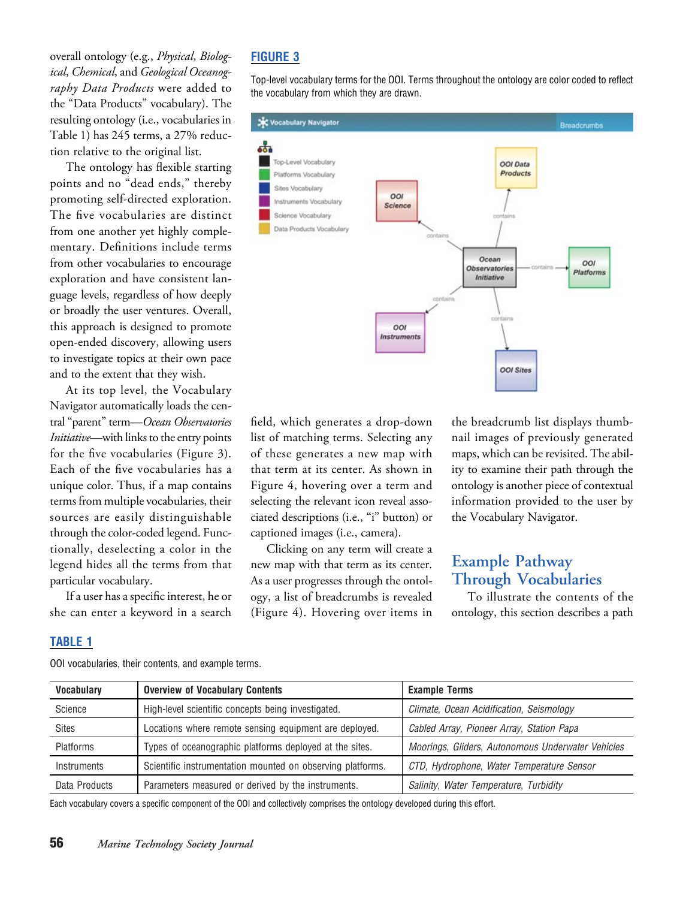overall ontology (e.g., Physical, Biological, Chemical, and Geological Oceanography Data Products were added to the "Data Products" vocabulary). The resulting ontology (i.e., vocabularies in Table 1) has 245 terms, a 27% reduction relative to the original list.

The ontology has flexible starting points and no "dead ends," thereby promoting self-directed exploration. The five vocabularies are distinct from one another yet highly complementary. Definitions include terms from other vocabularies to encourage exploration and have consistent language levels, regardless of how deeply or broadly the user ventures. Overall, this approach is designed to promote open-ended discovery, allowing users to investigate topics at their own pace and to the extent that they wish.

At its top level, the Vocabulary Navigator automatically loads the central"parent" term—Ocean Observatories Initiative—with links to the entry points for the five vocabularies (Figure 3). Each of the five vocabularies has a unique color. Thus, if a map contains terms from multiple vocabularies, their sources are easily distinguishable through the color-coded legend. Functionally, deselecting a color in the legend hides all the terms from that particular vocabulary.

If a user has a specific interest, he or she can enter a keyword in a search

## FIGURE 3

Top-level vocabulary terms for the OOI. Terms throughout the ontology are color coded to reflect the vocabulary from which they are drawn.



field, which generates a drop-down list of matching terms. Selecting any of these generates a new map with that term at its center. As shown in Figure 4, hovering over a term and selecting the relevant icon reveal associated descriptions (i.e., "i" button) or captioned images (i.e., camera).

Clicking on any term will create a new map with that term as its center. As a user progresses through the ontology, a list of breadcrumbs is revealed (Figure 4). Hovering over items in

the breadcrumb list displays thumbnail images of previously generated maps, which can be revisited. The ability to examine their path through the ontology is another piece of contextual information provided to the user by the Vocabulary Navigator.

## Example Pathway Through Vocabularies

To illustrate the contents of the ontology, this section describes a path

#### TABLE 1

| <b>Vocabulary</b> | <b>Overview of Vocabulary Contents</b>                     | <b>Example Terms</b>                              |  |  |
|-------------------|------------------------------------------------------------|---------------------------------------------------|--|--|
| Science           | High-level scientific concepts being investigated.         | Climate, Ocean Acidification, Seismology          |  |  |
| <b>Sites</b>      | Locations where remote sensing equipment are deployed.     | Cabled Array, Pioneer Array, Station Papa         |  |  |
| <b>Platforms</b>  | Types of oceanographic platforms deployed at the sites.    | Moorings, Gliders, Autonomous Underwater Vehicles |  |  |
| Instruments       | Scientific instrumentation mounted on observing platforms. | CTD, Hydrophone, Water Temperature Sensor         |  |  |
| Data Products     | Parameters measured or derived by the instruments.         | Salinity, Water Temperature, Turbidity            |  |  |

OOI vocabularies, their contents, and example terms.

Each vocabulary covers a specific component of the OOI and collectively comprises the ontology developed during this effort.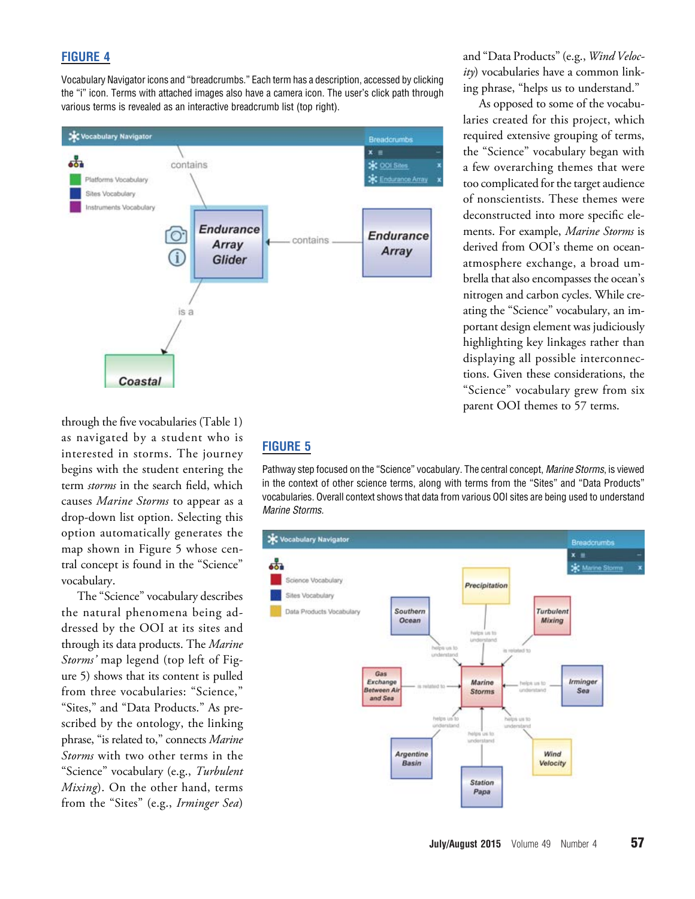## FIGURE 4

Vocabulary Navigator icons and "breadcrumbs." Each term has a description, accessed by clicking the "i" icon. Terms with attached images also have a camera icon. The user's click path through various terms is revealed as an interactive breadcrumb list (top right).



and "Data Products" (e.g., Wind Velocity) vocabularies have a common linking phrase, "helps us to understand."

As opposed to some of the vocabularies created for this project, which required extensive grouping of terms, the "Science" vocabulary began with a few overarching themes that were too complicated for the target audience of nonscientists. These themes were deconstructed into more specific elements. For example, Marine Storms is derived from OOI's theme on oceanatmosphere exchange, a broad umbrella that also encompasses the ocean's nitrogen and carbon cycles. While creating the "Science" vocabulary, an important design element was judiciously highlighting key linkages rather than displaying all possible interconnections. Given these considerations, the "Science" vocabulary grew from six parent OOI themes to 57 terms.

through the five vocabularies (Table 1) as navigated by a student who is interested in storms. The journey begins with the student entering the term storms in the search field, which causes Marine Storms to appear as a drop-down list option. Selecting this option automatically generates the map shown in Figure 5 whose central concept is found in the "Science" vocabulary.

The "Science" vocabulary describes the natural phenomena being addressed by the OOI at its sites and through its data products. The Marine Storms*'* map legend (top left of Figure 5) shows that its content is pulled from three vocabularies: "Science," "Sites," and "Data Products." As prescribed by the ontology, the linking phrase, "is related to," connects Marine Storms with two other terms in the "Science" vocabulary (e.g., Turbulent Mixing). On the other hand, terms from the "Sites" (e.g., Irminger Sea)

## FIGURE 5

Pathway step focused on the "Science" vocabulary. The central concept, *Marine Storms*, is viewed in the context of other science terms, along with terms from the "Sites" and "Data Products" vocabularies. Overall context shows that data from various OOI sites are being used to understand Marine Storms.

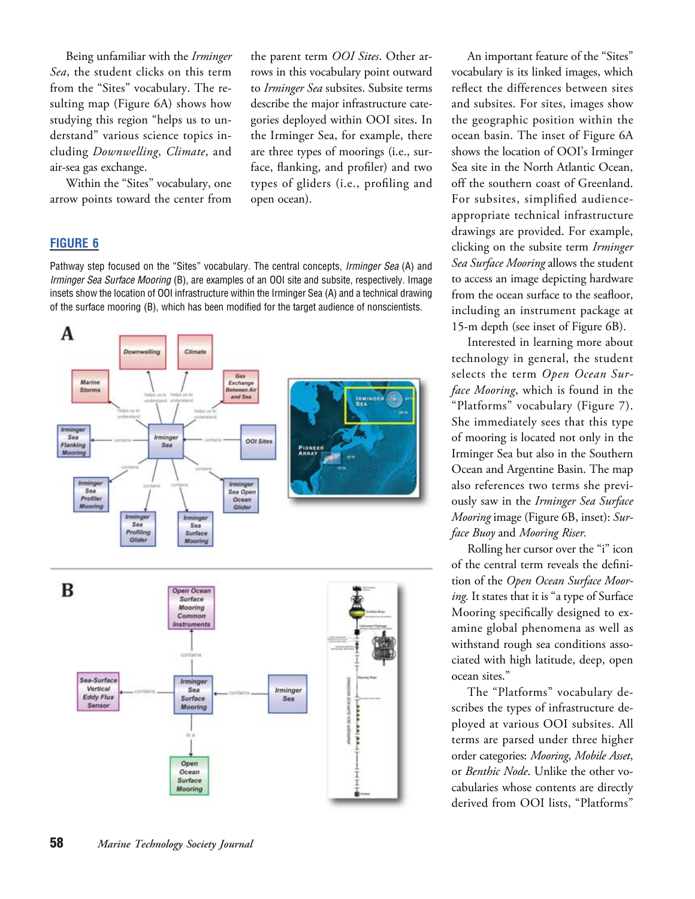Being unfamiliar with the Irminger Sea, the student clicks on this term from the "Sites" vocabulary. The resulting map (Figure 6A) shows how studying this region "helps us to understand" various science topics including Downwelling, Climate, and air-sea gas exchange.

Within the "Sites" vocabulary, one arrow points toward the center from the parent term *OOI Sites*. Other arrows in this vocabulary point outward to Irminger Sea subsites. Subsite terms describe the major infrastructure categories deployed within OOI sites. In the Irminger Sea, for example, there are three types of moorings (i.e., surface, flanking, and profiler) and two types of gliders (i.e., profiling and open ocean).

#### FIGURE 6

Pathway step focused on the "Sites" vocabulary. The central concepts, *Irminger Sea* (A) and Irminger Sea Surface Mooring (B), are examples of an OOI site and subsite, respectively. Image insets show the location of OOI infrastructure within the Irminger Sea (A) and a technical drawing of the surface mooring (B), which has been modified for the target audience of nonscientists.





An important feature of the "Sites" vocabulary is its linked images, which reflect the differences between sites and subsites. For sites, images show the geographic position within the ocean basin. The inset of Figure 6A shows the location of OOI's Irminger Sea site in the North Atlantic Ocean, off the southern coast of Greenland. For subsites, simplified audienceappropriate technical infrastructure drawings are provided. For example, clicking on the subsite term Irminger Sea Surface Mooring allows the student to access an image depicting hardware from the ocean surface to the seafloor, including an instrument package at 15-m depth (see inset of Figure 6B).

Interested in learning more about technology in general, the student selects the term Open Ocean Surface Mooring, which is found in the "Platforms" vocabulary (Figure 7). She immediately sees that this type of mooring is located not only in the Irminger Sea but also in the Southern Ocean and Argentine Basin. The map also references two terms she previously saw in the Irminger Sea Surface Mooring image (Figure 6B, inset): Surface Buoy and Mooring Riser.

Rolling her cursor over the "i" icon of the central term reveals the definition of the Open Ocean Surface Mooring. It states that it is "a type of Surface Mooring specifically designed to examine global phenomena as well as withstand rough sea conditions associated with high latitude, deep, open ocean sites."

The "Platforms" vocabulary describes the types of infrastructure deployed at various OOI subsites. All terms are parsed under three higher order categories: Mooring, Mobile Asset, or Benthic Node. Unlike the other vocabularies whose contents are directly derived from OOI lists, "Platforms"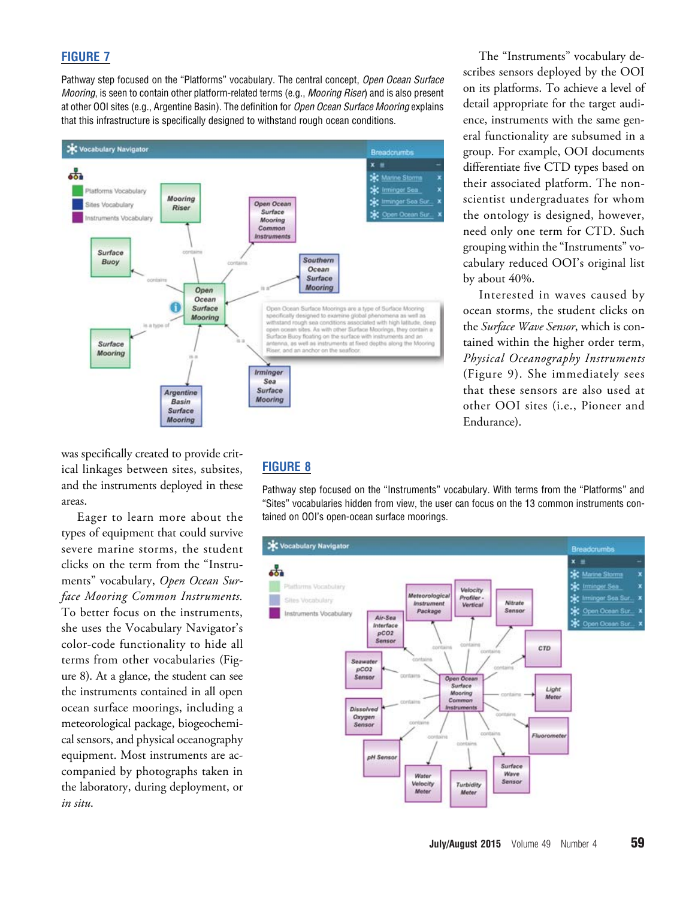## FIGURE 7

Pathway step focused on the "Platforms" vocabulary. The central concept, Open Ocean Surface Mooring, is seen to contain other platform-related terms (e.g., Mooring Riser) and is also present at other OOI sites (e.g., Argentine Basin). The definition for Open Ocean Surface Mooring explains that this infrastructure is specifically designed to withstand rough ocean conditions.



The "Instruments" vocabulary describes sensors deployed by the OOI on its platforms. To achieve a level of detail appropriate for the target audience, instruments with the same general functionality are subsumed in a group. For example, OOI documents differentiate five CTD types based on their associated platform. The nonscientist undergraduates for whom the ontology is designed, however, need only one term for CTD. Such grouping within the"Instruments" vocabulary reduced OOI's original list by about 40%.

Interested in waves caused by ocean storms, the student clicks on the Surface Wave Sensor, which is contained within the higher order term, Physical Oceanography Instruments (Figure 9). She immediately sees that these sensors are also used at other OOI sites (i.e., Pioneer and Endurance).

was specifically created to provide critical linkages between sites, subsites, and the instruments deployed in these areas.

Eager to learn more about the types of equipment that could survive severe marine storms, the student clicks on the term from the "Instruments" vocabulary, Open Ocean Sur-<br>face Mooring Common Instruments. To better focus on the instruments, she uses the Vocabulary Navigator's color-code functionality to hide all terms from other vocabularies (Figure 8). At a glance, the student can see the instruments contained in all open ocean surface moorings, including a meteorological package, biogeochemical sensors, and physical oceanography equipment. Most instruments are accompanied by photographs taken in the laboratory, during deployment, or in situ.

## FIGURE 8

Pathway step focused on the "Instruments" vocabulary. With terms from the "Platforms" and "Sites" vocabularies hidden from view, the user can focus on the 13 common instruments contained on OOI's open-ocean surface moorings.

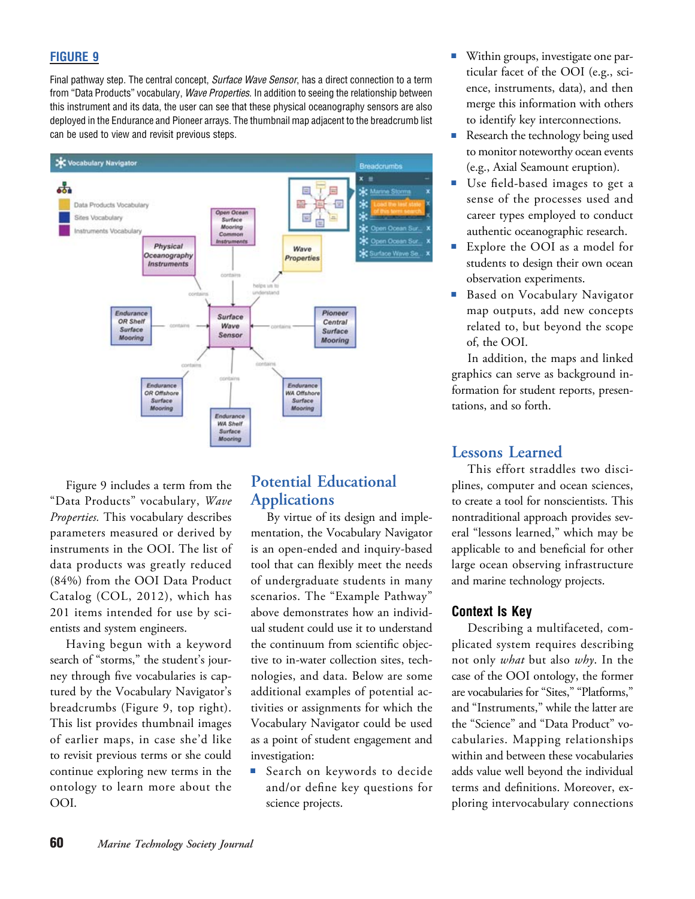## FIGURE 9

Final pathway step. The central concept, Surface Wave Sensor, has a direct connection to a term from "Data Products" vocabulary, Wave Properties. In addition to seeing the relationship between this instrument and its data, the user can see that these physical oceanography sensors are also deployed in the Endurance and Pioneer arrays. The thumbnail map adjacent to the breadcrumb list can be used to view and revisit previous steps.



Figure 9 includes a term from the "Data Products" vocabulary, Wave Properties. This vocabulary describes parameters measured or derived by instruments in the OOI. The list of data products was greatly reduced (84%) from the OOI Data Product Catalog (COL, 2012), which has 201 items intended for use by scientists and system engineers.

Having begun with a keyword search of "storms," the student's journey through five vocabularies is captured by the Vocabulary Navigator's breadcrumbs (Figure 9, top right). This list provides thumbnail images of earlier maps, in case she'd like to revisit previous terms or she could continue exploring new terms in the ontology to learn more about the OOI.

## Potential Educational **Applications**

By virtue of its design and implementation, the Vocabulary Navigator is an open-ended and inquiry-based tool that can flexibly meet the needs of undergraduate students in many scenarios. The "Example Pathway" above demonstrates how an individual student could use it to understand the continuum from scientific objective to in-water collection sites, technologies, and data. Below are some additional examples of potential activities or assignments for which the Vocabulary Navigator could be used as a point of student engagement and investigation:

■ Search on keywords to decide and/or define key questions for science projects.

- Within groups, investigate one particular facet of the OOI (e.g., science, instruments, data), and then merge this information with others to identify key interconnections.
- Research the technology being used to monitor noteworthy ocean events (e.g., Axial Seamount eruption).
- Use field-based images to get a sense of the processes used and career types employed to conduct authentic oceanographic research.
- Explore the OOI as a model for students to design their own ocean observation experiments.
- Based on Vocabulary Navigator map outputs, add new concepts related to, but beyond the scope of, the OOI.

In addition, the maps and linked graphics can serve as background information for student reports, presentations, and so forth.

### Lessons Learned

This effort straddles two disciplines, computer and ocean sciences, to create a tool for nonscientists. This nontraditional approach provides several "lessons learned," which may be applicable to and beneficial for other large ocean observing infrastructure and marine technology projects.

Describing a multifaceted, complicated system requires describing not only *what* but also *why*. In the case of the OOI ontology, the former are vocabularies for "Sites," "Platforms," and "Instruments," while the latter are the "Science" and "Data Product" vocabularies. Mapping relationships within and between these vocabularies adds value well beyond the individual terms and definitions. Moreover, exploring intervocabulary connections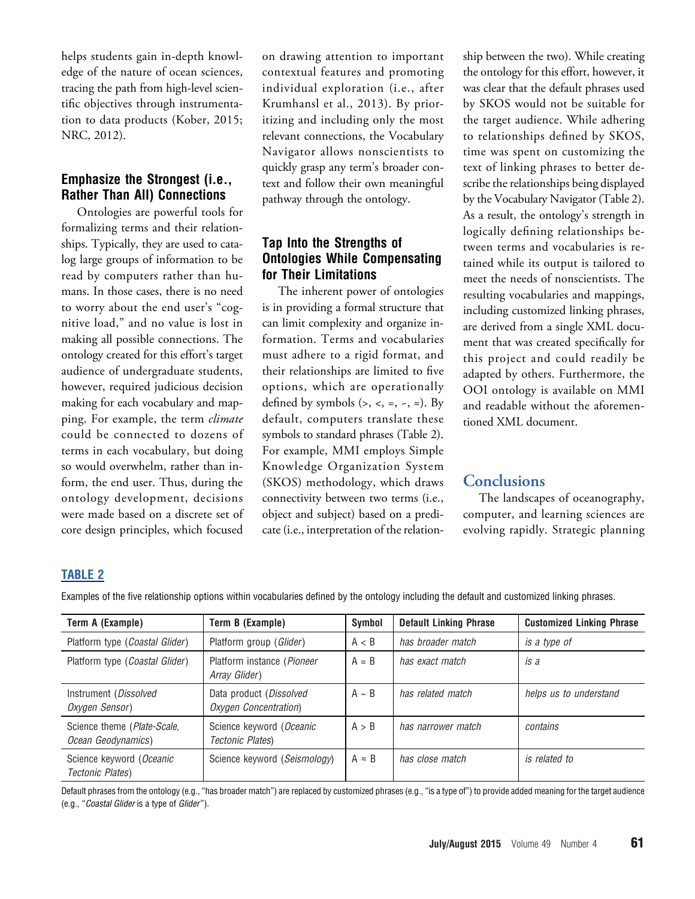helps students gain in-depth knowledge of the nature of ocean sciences, tracing the path from high-level scientific objectives through instrumentation to data products (Kober, 2015; NRC, 2012).

# Emphasize the Strongest (i.e.,

Ontologies are powerful tools for formalizing terms and their relationships. Typically, they are used to catalog large groups of information to be read by computers rather than humans. In those cases, there is no need to worry about the end user's "cognitive load," and no value is lost in making all possible connections. The ontology created for this effort's target audience of undergraduate students, however, required judicious decision making for each vocabulary and mapping. For example, the term *climate* could be connected to dozens of terms in each vocabulary, but doing so would overwhelm, rather than inform, the end user. Thus, during the ontology development, decisions were made based on a discrete set of core design principles, which focused

on drawing attention to important contextual features and promoting individual exploration (i.e., after Krumhansl et al., 2013). By prioritizing and including only the most relevant connections, the Vocabulary Navigator allows nonscientists to quickly grasp any term's broader context and follow their own meaningful pathway through the ontology.

## Tap Into the Strengths of<br>Ontologies While Compensating for Their Limitations

The inherent power of ontologies is in providing a formal structure that can limit complexity and organize information. Terms and vocabularies must adhere to a rigid format, and their relationships are limited to five options, which are operationally defined by symbols  $(\ge, \le, \le, \ge)$ . By default, computers translate these symbols to standard phrases (Table 2). For example, MMI employs Simple Knowledge Organization System (SKOS) methodology, which draws connectivity between two terms (i.e., object and subject) based on a predicate (i.e., interpretation of the relationship between the two). While creating the ontology for this effort, however, it was clear that the default phrases used by SKOS would not be suitable for the target audience. While adhering to relationships defined by SKOS, time was spent on customizing the text of linking phrases to better describe the relationships being displayed by the Vocabulary Navigator (Table 2). As a result, the ontology's strength in logically defining relationships between terms and vocabularies is retained while its output is tailored to meet the needs of nonscientists. The resulting vocabularies and mappings, including customized linking phrases, are derived from a single XML document that was created specifically for this project and could readily be adapted by others. Furthermore, the OOI ontology is available on MMI and readable without the aforementioned XML document.

## **Conclusions**

The landscapes of oceanography, computer, and learning sciences are evolving rapidly. Strategic planning

#### TABLE 2

Examples of the five relationship options within vocabularies defined by the ontology including the default and customized linking phrases.

| Term A (Example)                                  | Term B (Example)                                 | Symbol        | <b>Default Linking Phrase</b> | <b>Customized Linking Phrase</b> |  |  |
|---------------------------------------------------|--------------------------------------------------|---------------|-------------------------------|----------------------------------|--|--|
| Platform type (Coastal Glider)                    | Platform group (Glider)                          | A < B         | has broader match             | is a type of                     |  |  |
| Platform type ( <i>Coastal Glider</i> )           | Platform instance (Pioneer<br>Array Glider)      | $A = B$       | has exact match               | is a                             |  |  |
| Instrument ( <i>Dissolved</i><br>Oxygen Sensor)   | Data product (Dissolved<br>Oxygen Concentration) | $A \sim B$    | has related match             | helps us to understand           |  |  |
| Science theme (Plate-Scale,<br>Ocean Geodynamics) | Science keyword (Oceanic<br>Tectonic Plates)     | A > B         | has narrower match            | contains                         |  |  |
| Science keyword (Oceanic<br>Tectonic Plates)      | Science keyword (Seismology)                     | $A \approx B$ | has close match               | is related to                    |  |  |

Default phrases from the ontology (e.g., "has broader match") are replaced by customized phrases (e.g., "is a type of") to provide added meaning for the target audience (e.g., "Coastal Glider is a type of Glider").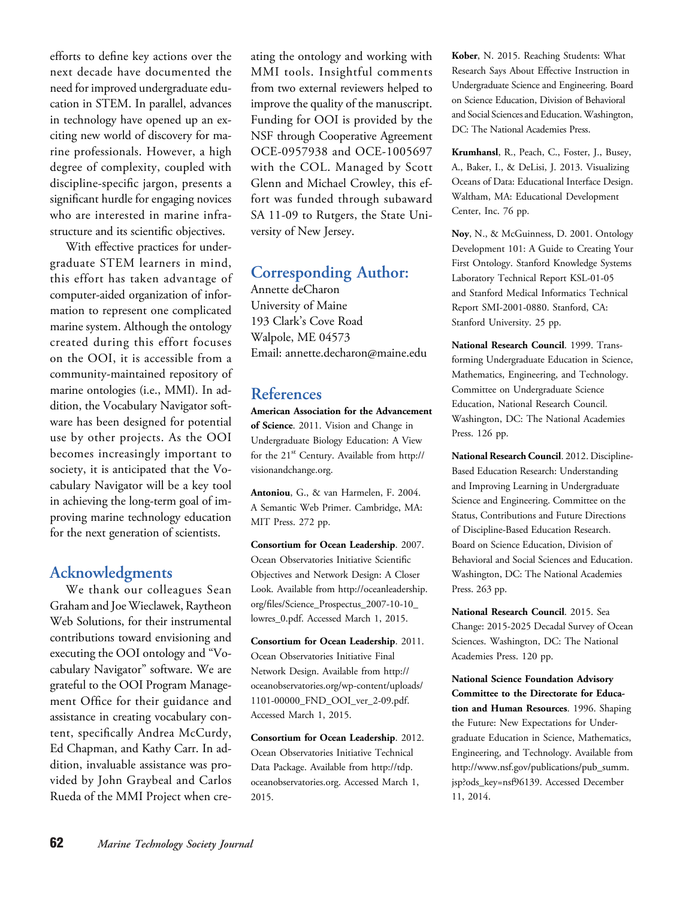efforts to define key actions over the next decade have documented the need for improved undergraduate education in STEM. In parallel, advances in technology have opened up an exciting new world of discovery for marine professionals. However, a high degree of complexity, coupled with discipline-specific jargon, presents a significant hurdle for engaging novices who are interested in marine infrastructure and its scientific objectives.

With effective practices for undergraduate STEM learners in mind, this effort has taken advantage of computer-aided organization of information to represent one complicated marine system. Although the ontology created during this effort focuses on the OOI, it is accessible from a community-maintained repository of marine ontologies (i.e., MMI). In addition, the Vocabulary Navigator software has been designed for potential use by other projects. As the OOI becomes increasingly important to society, it is anticipated that the Vocabulary Navigator will be a key tool in achieving the long-term goal of improving marine technology education for the next generation of scientists.

#### Acknowledgments

We thank our colleagues Sean Graham and Joe Wieclawek, Raytheon Web Solutions, for their instrumental contributions toward envisioning and executing the OOI ontology and "Vocabulary Navigator" software. We are grateful to the OOI Program Management Office for their guidance and assistance in creating vocabulary content, specifically Andrea McCurdy, Ed Chapman, and Kathy Carr. In addition, invaluable assistance was provided by John Graybeal and Carlos Rueda of the MMI Project when creating the ontology and working with MMI tools. Insightful comments from two external reviewers helped to improve the quality of the manuscript. Funding for OOI is provided by the NSF through Cooperative Agreement OCE-0957938 and OCE-1005697 with the COL. Managed by Scott Glenn and Michael Crowley, this effort was funded through subaward SA 11-09 to Rutgers, the State University of New Jersey.

## Corresponding Author:

Annette deCharon University of Maine 193 Clark's Cove Road Walpole, ME 04573 Email: annette.decharon@maine.edu

References<br>American Association for the Advancement of Science. 2011. Vision and Change in Undergraduate Biology Education: A View for the 21st Century. Available from http:// visionandchange.org.

Antoniou, G., & van Harmelen, F. 2004. A Semantic Web Primer. Cambridge, MA: MIT Press. 272 pp.

Consortium for Ocean Leadership. 2007. Ocean Observatories Initiative Scientific Objectives and Network Design: A Closer Look. Available from http://oceanleadership. org/files/Science\_Prospectus\_2007-10-10\_ lowres\_0.pdf. Accessed March 1, 2015.

Consortium for Ocean Leadership. 2011. Ocean Observatories Initiative Final Network Design. Available from http:// oceanobservatories.org/wp-content/uploads/ 1101-00000\_FND\_OOI\_ver\_2-09.pdf. Accessed March 1, 2015.

Consortium for Ocean Leadership. 2012. Ocean Observatories Initiative Technical Data Package. Available from http://tdp. oceanobservatories.org. Accessed March 1, 2015.

Kober, N. 2015. Reaching Students: What Research Says About Effective Instruction in Undergraduate Science and Engineering. Board on Science Education, Division of Behavioral and Social Sciences and Education. Washington, DC: The National Academies Press.

Krumhansl, R., Peach, C., Foster, J., Busey, A., Baker, I., & DeLisi, J. 2013. Visualizing Oceans of Data: Educational Interface Design. Waltham, MA: Educational Development Center, Inc. 76 pp.

Noy, N., & McGuinness, D. 2001. Ontology Development 101: A Guide to Creating Your First Ontology. Stanford Knowledge Systems Laboratory Technical Report KSL-01-05 and Stanford Medical Informatics Technical Report SMI-2001-0880. Stanford, CA: Stanford University. 25 pp.

National Research Council. 1999. Transforming Undergraduate Education in Science, Mathematics, Engineering, and Technology. Committee on Undergraduate Science Education, National Research Council. Washington, DC: The National Academies Press. 126 pp.

National Research Council. 2012. Discipline-Based Education Research: Understanding and Improving Learning in Undergraduate Science and Engineering. Committee on the Status, Contributions and Future Directions of Discipline-Based Education Research. Board on Science Education, Division of Behavioral and Social Sciences and Education. Washington, DC: The National Academies Press. 263 pp.

National Research Council. 2015. Sea Change: 2015-2025 Decadal Survey of Ocean Sciences. Washington, DC: The National Academies Press. 120 pp.

National Science Foundation Advisory<br>Committee to the Directorate for Education and Human Resources. 1996. Shaping the Future: New Expectations for Undergraduate Education in Science, Mathematics, Engineering, and Technology. Available from http://www.nsf.gov/publications/pub\_summ. jsp?ods\_key=nsf96139. Accessed December 11, 2014.